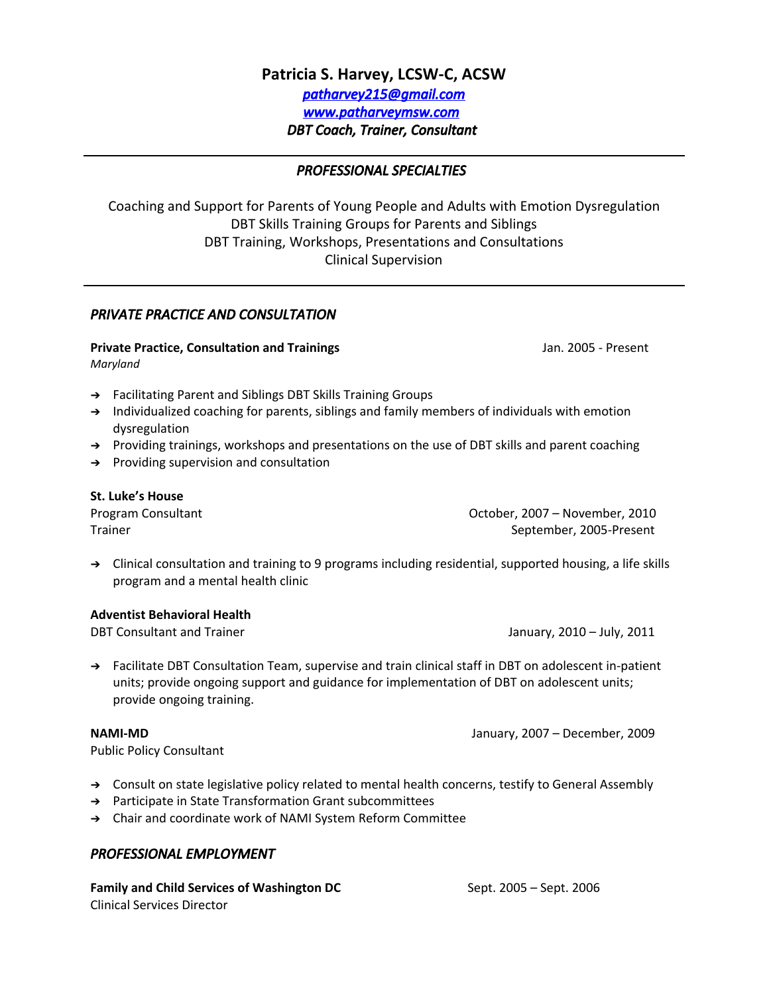# **Patricia S. Harvey, LCSW-C, ACSW** *[patharvey215@gmail.com](mailto:brad.Harvey@comcast.net) [www.patharveymsw.com](http://www.patharveymsw.com/) DBT Coach, Trainer, Consultant*

#### *PROFESSIONAL SPECIALTIES*

Coaching and Support for Parents of Young People and Adults with Emotion Dysregulation DBT Skills Training Groups for Parents and Siblings DBT Training, Workshops, Presentations and Consultations Clinical Supervision

### *PRIVATE PRACTICE AND CONSULTATION*

**Private Practice, Consultation and Trainings** Jan. 2005 - Present *Maryland*

- ➔ Facilitating Parent and Siblings DBT Skills Training Groups
- ➔ Individualized coaching for parents, siblings and family members of individuals with emotion dysregulation
- → Providing trainings, workshops and presentations on the use of DBT skills and parent coaching
- ➔ Providing supervision and consultation

#### **St. Luke's House**

Program Consultant October, 2007 – November, 2010 Trainer September, 2005-Present

➔ Clinical consultation and training to 9 programs including residential, supported housing, a life skills program and a mental health clinic

# **Adventist Behavioral Health**

January, 2010 – July, 2011

➔ Facilitate DBT Consultation Team, supervise and train clinical staff in DBT on adolescent in-patient units; provide ongoing support and guidance for implementation of DBT on adolescent units; provide ongoing training.

**NAMI-MD** January, 2007 – December, 2009

Public Policy Consultant

- ➔ Consult on state legislative policy related to mental health concerns, testify to General Assembly
- ➔ Participate in State Transformation Grant subcommittees
- ➔ Chair and coordinate work of NAMI System Reform Committee

#### *PROFESSIONAL EMPLOYMENT*

**Family and Child Services of Washington DC** Sept. 2005 – Sept. 2006 Clinical Services Director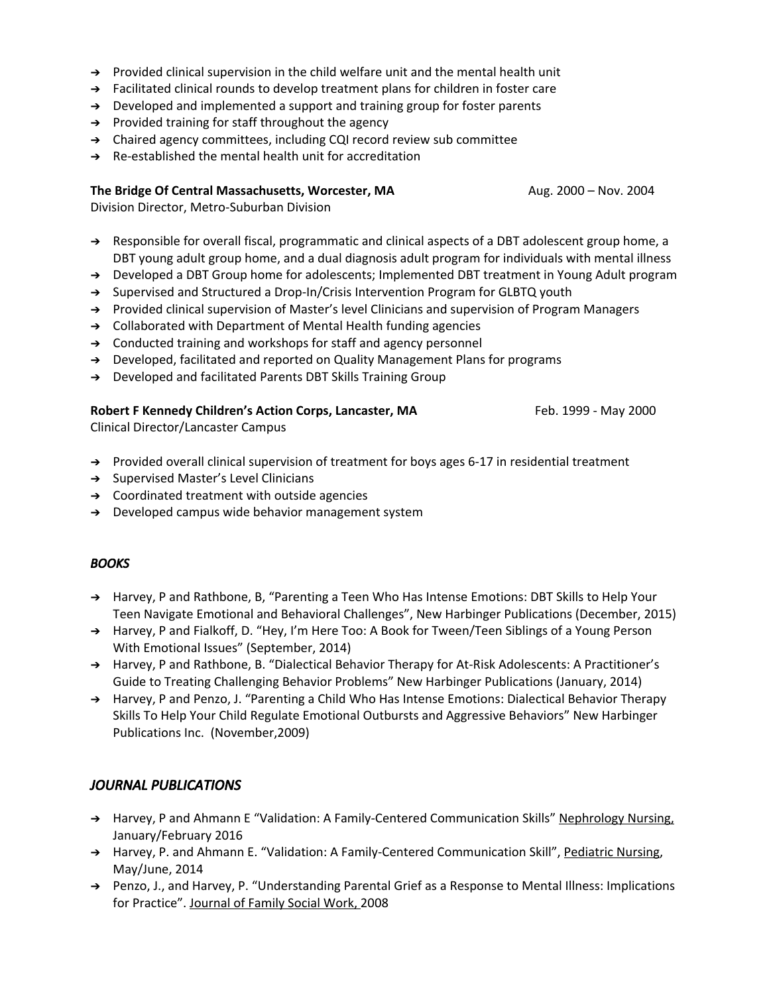- ➔ Provided clinical supervision in the child welfare unit and the mental health unit
- ➔ Facilitated clinical rounds to develop treatment plans for children in foster care
- $\rightarrow$  Developed and implemented a support and training group for foster parents
- ➔ Provided training for staff throughout the agency
- ➔ Chaired agency committees, including CQI record review sub committee
- ➔ Re-established the mental health unit for accreditation

#### **The Bridge Of Central Massachusetts, Worcester, MA** Aug. 2000 – Nov. 2004

Division Director, Metro-Suburban Division

- ➔ Responsible for overall fiscal, programmatic and clinical aspects of a DBT adolescent group home, a DBT young adult group home, and a dual diagnosis adult program for individuals with mental illness
- ➔ Developed a DBT Group home for adolescents; Implemented DBT treatment in Young Adult program
- ➔ Supervised and Structured a Drop-In/Crisis Intervention Program for GLBTQ youth
- ➔ Provided clinical supervision of Master's level Clinicians and supervision of Program Managers
- ➔ Collaborated with Department of Mental Health funding agencies
- → Conducted training and workshops for staff and agency personnel
- ➔ Developed, facilitated and reported on Quality Management Plans for programs
- → Developed and facilitated Parents DBT Skills Training Group

#### **Robert F Kennedy Children's Action Corps, Lancaster, MA** Feb. 1999 - May 2000

Clinical Director/Lancaster Campus

- → Provided overall clinical supervision of treatment for boys ages 6-17 in residential treatment
- ➔ Supervised Master's Level Clinicians
- ➔ Coordinated treatment with outside agencies
- → Developed campus wide behavior management system

### *BOOKS*

- ➔ Harvey, P and Rathbone, B, "Parenting a Teen Who Has Intense Emotions: DBT Skills to Help Your Teen Navigate Emotional and Behavioral Challenges", New Harbinger Publications (December, 2015)
- ➔ Harvey, P and Fialkoff, D. "Hey, I'm Here Too: A Book for Tween/Teen Siblings of a Young Person With Emotional Issues" (September, 2014)
- ➔ Harvey, P and Rathbone, B. "Dialectical Behavior Therapy for At-Risk Adolescents: A Practitioner's Guide to Treating Challenging Behavior Problems" New Harbinger Publications (January, 2014)
- ➔ Harvey, P and Penzo, J. "Parenting a Child Who Has Intense Emotions: Dialectical Behavior Therapy Skills To Help Your Child Regulate Emotional Outbursts and Aggressive Behaviors" New Harbinger Publications Inc. (November,2009)

# *JOURNAL PUBLICATIONS*

- → Harvey, P and Ahmann E "Validation: A Family-Centered Communication Skills" Nephrology Nursing, January/February 2016
- → Harvey, P. and Ahmann E. "Validation: A Family-Centered Communication Skill", Pediatric Nursing, May/June, 2014
- ➔ Penzo, J., and Harvey, P. "Understanding Parental Grief as a Response to Mental Illness: Implications for Practice". Journal of Family Social Work, 2008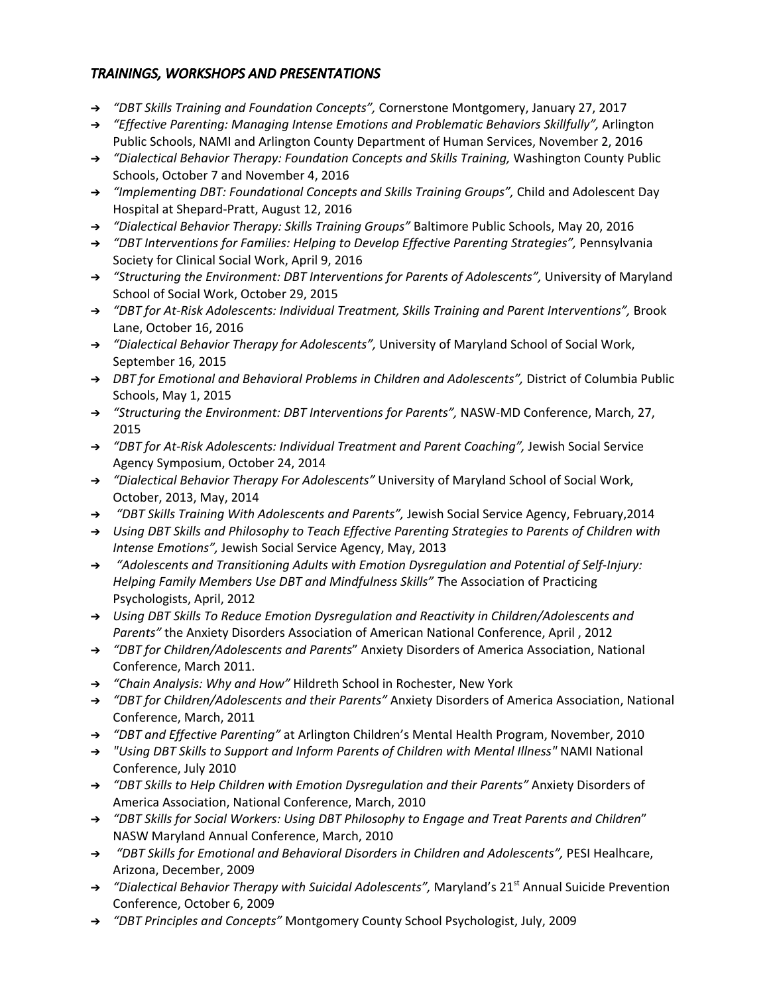# *TRAININGS, WORKSHOPS AND PRESENTATIONS*

- ➔ *"DBT Skills Training and Foundation Concepts",* Cornerstone Montgomery, January 27, 2017
- ➔ *"Effective Parenting: Managing Intense Emotions and Problematic Behaviors Skillfully",* Arlington Public Schools, NAMI and Arlington County Department of Human Services, November 2, 2016
- ➔ *"Dialectical Behavior Therapy: Foundation Concepts and Skills Training,* Washington County Public Schools, October 7 and November 4, 2016
- ➔ *"Implementing DBT: Foundational Concepts and Skills Training Groups",* Child and Adolescent Day Hospital at Shepard-Pratt, August 12, 2016
- ➔ *"Dialectical Behavior Therapy: Skills Training Groups"* Baltimore Public Schools, May 20, 2016
- ➔ *"DBT Interventions for Families: Helping to Develop Effective Parenting Strategies",* Pennsylvania Society for Clinical Social Work, April 9, 2016
- ➔ *"Structuring the Environment: DBT Interventions for Parents of Adolescents",* University of Maryland School of Social Work, October 29, 2015
- ➔ *"DBT for At-Risk Adolescents: Individual Treatment, Skills Training and Parent Interventions",* Brook Lane, October 16, 2016
- ➔ *"Dialectical Behavior Therapy for Adolescents",* University of Maryland School of Social Work, September 16, 2015
- ➔ *DBT for Emotional and Behavioral Problems in Children and Adolescents",* District of Columbia Public Schools, May 1, 2015
- ➔ *"Structuring the Environment: DBT Interventions for Parents",* NASW-MD Conference, March, 27, 2015
- ➔ *"DBT for At-Risk Adolescents: Individual Treatment and Parent Coaching",* Jewish Social Service Agency Symposium, October 24, 2014
- ➔ *"Dialectical Behavior Therapy For Adolescents"* University of Maryland School of Social Work, October, 2013, May, 2014
- ➔ *"DBT Skills Training With Adolescents and Parents",* Jewish Social Service Agency, February,2014
- ➔ *Using DBT Skills and Philosophy to Teach Effective Parenting Strategies to Parents of Children with Intense Emotions",* Jewish Social Service Agency, May, 2013
- ➔ *"Adolescents and Transitioning Adults with Emotion Dysregulation and Potential of Self-Injury: Helping Family Members Use DBT and Mindfulness Skills" T*he Association of Practicing Psychologists, April, 2012
- ➔ *Using DBT Skills To Reduce Emotion Dysregulation and Reactivity in Children/Adolescents and Parents"* the Anxiety Disorders Association of American National Conference, April , 2012
- ➔ *"DBT for Children/Adolescents and Parents*" Anxiety Disorders of America Association, National Conference, March 2011.
- ➔ *"Chain Analysis: Why and How"* Hildreth School in Rochester, New York
- ➔ *"DBT for Children/Adolescents and their Parents"* Anxiety Disorders of America Association, National Conference, March, 2011
- ➔ *"DBT and Effective Parenting"* at Arlington Children's Mental Health Program, November, 2010
- ➔ *"Using DBT Skills to Support and Inform Parents of Children with Mental Illness"* NAMI National Conference, July 2010
- ➔ *"DBT Skills to Help Children with Emotion Dysregulation and their Parents"* Anxiety Disorders of America Association, National Conference, March, 2010
- ➔ *"DBT Skills for Social Workers: Using DBT Philosophy to Engage and Treat Parents and Children*" NASW Maryland Annual Conference, March, 2010
- ➔ *"DBT Skills for Emotional and Behavioral Disorders in Children and Adolescents",* PESI Healhcare, Arizona, December, 2009
- ➔ *"Dialectical Behavior Therapy with Suicidal Adolescents",* Maryland's 21 st Annual Suicide Prevention Conference, October 6, 2009
- ➔ *"DBT Principles and Concepts"* Montgomery County School Psychologist, July, 2009